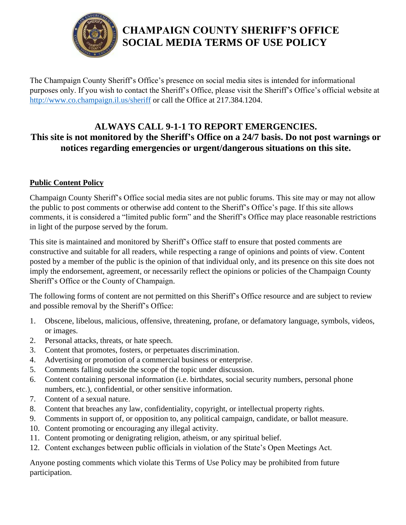

# **CHAMPAIGN COUNTY SHERIFF'S OFFICE SOCIAL MEDIA TERMS OF USE POLICY**

The Champaign County Sheriff's Office's presence on social media sites is intended for informational purposes only. If you wish to contact the Sheriff's Office, please visit the Sheriff's Office's official website at <http://www.co.champaign.il.us/sheriff> or call the Office at 217.384.1204.

# **ALWAYS CALL 9-1-1 TO REPORT EMERGENCIES. This site is not monitored by the Sheriff's Office on a 24/7 basis. Do not post warnings or notices regarding emergencies or urgent/dangerous situations on this site.**

## **Public Content Policy**

Champaign County Sheriff's Office social media sites are not public forums. This site may or may not allow the public to post comments or otherwise add content to the Sheriff's Office's page. If this site allows comments, it is considered a "limited public form" and the Sheriff's Office may place reasonable restrictions in light of the purpose served by the forum.

This site is maintained and monitored by Sheriff's Office staff to ensure that posted comments are constructive and suitable for all readers, while respecting a range of opinions and points of view. Content posted by a member of the public is the opinion of that individual only, and its presence on this site does not imply the endorsement, agreement, or necessarily reflect the opinions or policies of the Champaign County Sheriff's Office or the County of Champaign.

The following forms of content are not permitted on this Sheriff's Office resource and are subject to review and possible removal by the Sheriff's Office:

- 1. Obscene, libelous, malicious, offensive, threatening, profane, or defamatory language, symbols, videos, or images.
- 2. Personal attacks, threats, or hate speech.
- 3. Content that promotes, fosters, or perpetuates discrimination.
- 4. Advertising or promotion of a commercial business or enterprise.
- 5. Comments falling outside the scope of the topic under discussion.
- 6. Content containing personal information (i.e. birthdates, social security numbers, personal phone numbers, etc.), confidential, or other sensitive information.
- 7. Content of a sexual nature.
- 8. Content that breaches any law, confidentiality, copyright, or intellectual property rights.
- 9. Comments in support of, or opposition to, any political campaign, candidate, or ballot measure.
- 10. Content promoting or encouraging any illegal activity.
- 11. Content promoting or denigrating religion, atheism, or any spiritual belief.
- 12. Content exchanges between public officials in violation of the State's Open Meetings Act.

Anyone posting comments which violate this Terms of Use Policy may be prohibited from future participation.